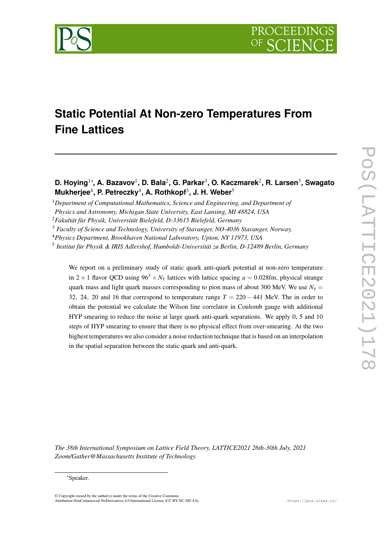

# **Static Potential At Non-zero Temperatures From Fine Lattices**

## **D. Hoying**1\***, A. Bazavov**<sup>1</sup> **, D. Bala**<sup>2</sup> **, G. Parkar**<sup>3</sup> **, O. Kaczmarek**<sup>2</sup> **, R. Larsen**<sup>3</sup> **, Swagato Mukherjee**<sup>4</sup> **, P. Petreczky**<sup>4</sup> **, A. Rothkopf**<sup>3</sup> **, J. H. Weber**<sup>5</sup>

<sup>1</sup>*Department of Computational Mathematics, Science and Engineering, and Department of*

We report on a preliminary study of static quark anti-quark potential at non-zero temperature in 2 + 1 flavor QCD using  $96^3 \times N_\tau$  lattices with lattice spacing  $a = 0.028$ fm, physical strange quark mass and light quark masses corresponding to pion mass of about 300 MeV. We use  $N<sub>\tau</sub>$  = 32, 24, 20 and 16 that correspond to temperature range  $T = 220 - 441$  MeV. The in order to obtain the potential we calculate the Wilson line correlator in Coulomb gauge with additional HYP smearing to reduce the noise at large quark anti-quark separations. We apply 0, 5 and 10 steps of HYP smearing to ensure that there is no physical effect from over-smearing. At the two highest temperatures we also consider a noise reduction technique that is based on an interpolation in the spatial separation between the static quark and anti-quark.

*The 38th International Symposium on Lattice Field Theory, LATTICE2021 26th-30th July, 2021 Zoom/Gather@Massachusetts Institute of Technology*

*Physics and Astronomy, Michigan State University, East Lansing, MI 48824, USA*

<sup>2</sup>*Fakultät für Physik, Universität Bielefeld, D-33615 Bielefeld, Germany*

<sup>3</sup> *Faculty of Science and Technology, University of Stavanger, NO-4036 Stavanger, Norway,*

<sup>4</sup>*Physics Department, Brookhaven National Laboratory, Upton, NY 11973, USA*

<sup>5</sup> *Institut für Physik & IRIS Adlershof, Humboldt-Universität zu Berlin, D-12489 Berlin, Germany*

<sup>\*</sup>Speaker.

<sup>©</sup> Copyright owned by the author(s) under the terms of the Creative Commons Attribution-NonCommercial-NoDerivatives 4.0 International License (CC BY-NC-ND 4.0). https://pos.sissa.it/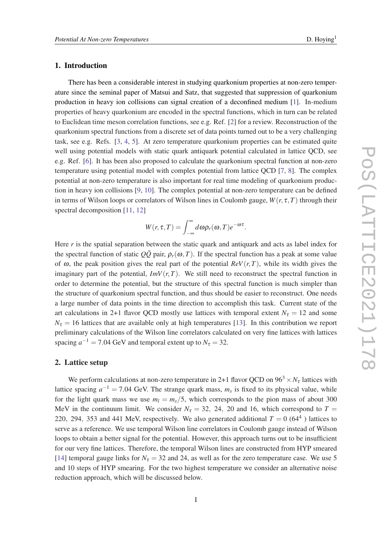#### 1. Introduction

There has been a considerable interest in studying quarkonium properties at non-zero temperature since the seminal paper of Matsui and Satz, that suggested that suppression of quarkonium production in heavy ion collisions can signal creation of a deconfined medium [[1](#page-6-0)]. In-medium properties of heavy quarkonium are encoded in the spectral functions, which in turn can be related to Euclidean time meson correlation functions, see e.g. Ref. [[2](#page-6-0)] for a review. Reconstruction of the quarkonium spectral functions from a discrete set of data points turned out to be a very challenging task, see e.g. Refs. [\[3,](#page-6-0) [4](#page-6-0), [5\]](#page-6-0). At zero temperature quarkonium properties can be estimated quite well using potential models with static quark antiquark potential calculated in lattice QCD, see e.g. Ref. [[6](#page-6-0)]. It has been also proposed to calculate the quarkonium spectral function at non-zero temperature using potential model with complex potential from lattice QCD [\[7,](#page-6-0) [8](#page-6-0)]. The complex potential at non-zero temperature is also important for real time modeling of quarkonium production in heavy ion collisions [\[9,](#page-6-0) [10](#page-6-0)]. The complex potential at non-zero temperature can be defined in terms of Wilson loops or correlators of Wilson lines in Coulomb gauge,  $W(r, \tau, T)$  through their spectral decomposition [[11,](#page-6-0) [12\]](#page-6-0)

$$
W(r, \tau, T) = \int_{-\infty}^{\infty} d\omega \rho_r(\omega, T) e^{-\omega \tau}.
$$

Here *r* is the spatial separation between the static quark and antiquark and acts as label index for the spectral function of static  $Q\overline{Q}$  pair,  $\rho_r(\omega,T)$ . If the spectral function has a peak at some value of  $\omega$ , the peak position gives the real part of the potential  $ReV(r,T)$ , while its width gives the imaginary part of the potential,  $ImV(r,T)$ . We still need to reconstruct the spectral function in order to determine the potential, but the structure of this spectral function is much simpler than the structure of quarkonium spectral function, and thus should be easier to reconstruct. One needs a large number of data points in the time direction to accomplish this task. Current state of the art calculations in 2+1 flavor QCD mostly use lattices with temporal extent  $N<sub>\tau</sub> = 12$  and some  $N_{\tau}$  = 16 lattices that are available only at high temperatures [\[13\]](#page-6-0). In this contribution we report preliminary calculations of the Wilson line correlators calculated on very fine lattices with lattices spacing  $a^{-1} = 7.04$  GeV and temporal extent up to  $N_{\tau} = 32$ .

#### 2. Lattice setup

We perform calculations at non-zero temperature in 2+1 flavor QCD on  $96<sup>3</sup> \times N<sub>\tau</sub>$  lattices with lattice spacing  $a^{-1} = 7.04$  GeV. The strange quark mass,  $m_s$  is fixed to its physical value, while for the light quark mass we use  $m_l = m_s/5$ , which corresponds to the pion mass of about 300 MeV in the continuum limit. We consider  $N<sub>\tau</sub> = 32, 24, 20$  and 16, which correspond to  $T =$ 220, 294, 353 and 441 MeV, respectively. We also generated additional  $T = 0$  (64<sup>4</sup>) lattices to serve as a reference. We use temporal Wilson line correlators in Coulomb gauge instead of Wilson loops to obtain a better signal for the potential. However, this approach turns out to be insufficient for our very fine lattices. Therefore, the temporal Wilson lines are constructed from HYP smeared [[14\]](#page-6-0) temporal gauge links for  $N_{\tau} = 32$  and 24, as well as for the zero temperature case. We use 5 and 10 steps of HYP smearing. For the two highest temperature we consider an alternative noise reduction approach, which will be discussed below.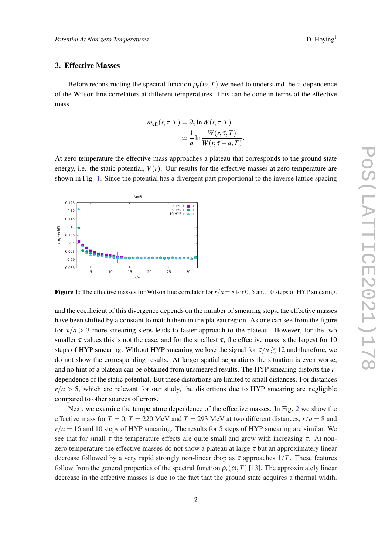#### 3. Effective Masses

Before reconstructing the spectral function  $\rho_r(\omega, T)$  we need to understand the  $\tau$ -dependence of the Wilson line correlators at different temperatures. This can be done in terms of the effective mass

$$
m_{\text{eff}}(r, \tau, T) = \partial_{\tau} \ln W(r, \tau, T)
$$

$$
\simeq \frac{1}{a} \ln \frac{W(r, \tau, T)}{W(r, \tau + a, T)}.
$$

At zero temperature the effective mass approaches a plateau that corresponds to the ground state energy, i.e. the static potential,  $V(r)$ . Our results for the effective masses at zero temperature are shown in Fig. 1. Since the potential has a divergent part proportional to the inverse lattice spacing



**Figure 1:** The effective masses for Wilson line correlator for  $r/a = 8$  for 0, 5 and 10 steps of HYP smearing.

and the coefficient of this divergence depends on the number of smearing steps, the effective masses have been shifted by a constant to match them in the plateau region. As one can see from the figure for  $\tau/a > 3$  more smearing steps leads to faster approach to the plateau. However, for the two smaller  $\tau$  values this is not the case, and for the smallest  $\tau$ , the effective mass is the largest for 10 steps of HYP smearing. Without HYP smearing we lose the signal for  $\tau/a \gtrsim 12$  and therefore, we do not show the corresponding results. At larger spatial separations the situation is even worse, and no hint of a plateau can be obtained from unsmeared results. The HYP smearing distorts the *r*dependence of the static potential. But these distortions are limited to small distances. For distances  $r/a > 5$ , which are relevant for our study, the distortions due to HYP smearing are negligible compared to other sources of errors.

Next, we examine the temperature dependence of the effective masses. In Fig. [2](#page-3-0) we show the effective mass for  $T = 0$ ,  $T = 220$  MeV and  $T = 293$  MeV at two different distances,  $r/a = 8$  and  $r/a = 16$  and 10 steps of HYP smearing. The results for 5 steps of HYP smearing are similar. We see that for small  $\tau$  the temperature effects are quite small and grow with increasing  $\tau$ . At nonzero temperature the effective masses do not show a plateau at large  $\tau$  but an approximately linear decrease followed by a very rapid strongly non-linear drop as  $\tau$  approaches  $1/T$ . These features follow from the general properties of the spectral function  $\rho_r(\omega,T)$  [[13](#page-6-0)]. The approximately linear decrease in the effective masses is due to the fact that the ground state acquires a thermal width.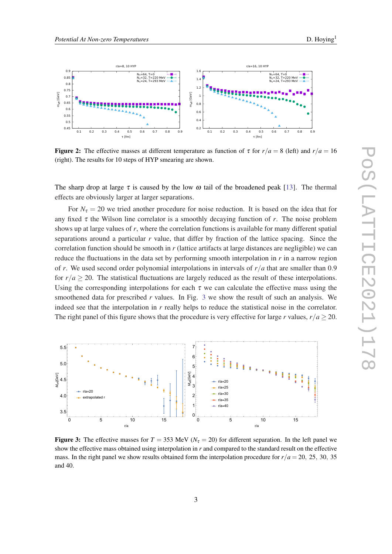

<span id="page-3-0"></span>

Figure 2: The effective masses at different temperature as function of  $\tau$  for  $r/a = 8$  (left) and  $r/a = 16$ (right). The results for 10 steps of HYP smearing are shown.

The sharp drop at large  $\tau$  is caused by the low  $\omega$  tail of the broadened peak [\[13](#page-6-0)]. The thermal effects are obviously larger at larger separations.

For  $N_{\tau} = 20$  we tried another procedure for noise reduction. It is based on the idea that for any fixed  $\tau$  the Wilson line correlator is a smoothly decaying function of  $r$ . The noise problem shows up at large values of *r*, where the correlation functions is available for many different spatial separations around a particular *r* value, that differ by fraction of the lattice spacing. Since the correlation function should be smooth in *r* (lattice artifacts at large distances are negligible) we can reduce the fluctuations in the data set by performing smooth interpolation in *r* in a narrow region of *r*. We used second order polynomial interpolations in intervals of *r*/*a* that are smaller than 0.9 for  $r/a \geq 20$ . The statistical fluctuations are largely reduced as the result of these interpolations. Using the corresponding interpolations for each  $\tau$  we can calculate the effective mass using the smoothened data for prescribed *r* values. In Fig. 3 we show the result of such an analysis. We indeed see that the interpolation in *r* really helps to reduce the statistical noise in the correlator. The right panel of this figure shows that the procedure is very effective for large *r* values,  $r/a \ge 20$ .



Figure 3: The effective masses for  $T = 353$  MeV ( $N<sub>\tau</sub> = 20$ ) for different separation. In the left panel we show the effective mass obtained using interpolation in *r* and compared to the standard result on the effective mass. In the right panel we show results obtained form the interpolation procedure for  $r/a = 20$ , 25, 30, 35 and 40.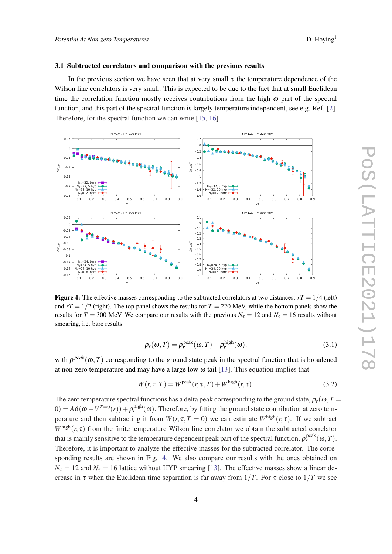#### <span id="page-4-0"></span>3.1 Subtracted correlators and comparison with the previous results

In the previous section we have seen that at very small  $\tau$  the temperature dependence of the Wilson line correlators is very small. This is expected to be due to the fact that at small Euclidean time the correlation function mostly receives contributions from the high  $\omega$  part of the spectral function, and this part of the spectral function is largely temperature independent, see e.g. Ref. [\[2\]](#page-6-0). Therefore, for the spectral function we can write [\[15](#page-6-0), [16](#page-6-0)]



**Figure 4:** The effective masses corresponding to the subtracted correlators at two distances:  $rT = 1/4$  (left) and  $rT = 1/2$  (right). The top panel shows the results for  $T = 220$  MeV, while the bottom panels show the results for  $T = 300$  MeV. We compare our results with the previous  $N<sub>\tau</sub> = 12$  and  $N<sub>\tau</sub> = 16$  results without smearing, i.e. bare results.

$$
\rho_r(\omega, T) = \rho_r^{\text{peak}}(\omega, T) + \rho_r^{\text{high}}(\omega),\tag{3.1}
$$

with  $\rho^{peak}(\omega,T)$  corresponding to the ground state peak in the spectral function that is broadened at non-zero temperature and may have a large low  $\omega$  tail [\[13](#page-6-0)]. This equation implies that

$$
W(r, \tau, T) = W^{\text{peak}}(r, \tau, T) + W^{\text{high}}(r, \tau).
$$
\n(3.2)

The zero temperature spectral functions has a delta peak corresponding to the ground state,  $\rho_r(\omega, T =$  $(0) = A\delta(\omega - V^{T=0}(r)) + \rho_r^{\text{high}}(\omega)$ . Therefore, by fitting the ground state contribution at zero temperature and then subtracting it from  $W(r, \tau, T = 0)$  we can estimate  $W^{\text{high}}(r, \tau)$ . If we subtract  $W^{\text{high}}(r, \tau)$  from the finite temperature Wilson line correlator we obtain the subtracted correlator that is mainly sensitive to the temperature dependent peak part of the spectral function,  $\rho_r^{\rm peak}(\omega,T)$ . Therefore, it is important to analyze the effective masses for the subtracted correlator. The corresponding results are shown in Fig. 4. We also compare our results with the ones obtained on  $N_{\tau} = 12$  and  $N_{\tau} = 16$  lattice without HYP smearing [\[13](#page-6-0)]. The effective masses show a linear decrease in  $\tau$  when the Euclidean time separation is far away from  $1/T$ . For  $\tau$  close to  $1/T$  we see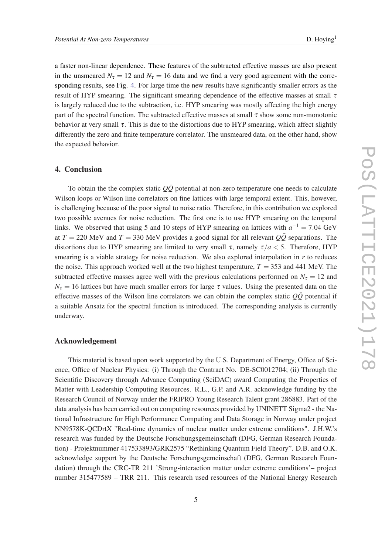a faster non-linear dependence. These features of the subtracted effective masses are also present in the unsmeared  $N_{\tau} = 12$  and  $N_{\tau} = 16$  data and we find a very good agreement with the corresponding results, see Fig. [4.](#page-4-0) For large time the new results have significantly smaller errors as the result of HYP smearing. The significant smearing dependence of the effective masses at small  $\tau$ is largely reduced due to the subtraction, i.e. HYP smearing was mostly affecting the high energy part of the spectral function. The subtracted effective masses at small  $\tau$  show some non-monotonic behavior at very small  $\tau$ . This is due to the distortions due to HYP smearing, which affect slightly differently the zero and finite temperature correlator. The unsmeared data, on the other hand, show the expected behavior.

#### 4. Conclusion

To obtain the the complex static  $Q\bar{Q}$  potential at non-zero temperature one needs to calculate Wilson loops or Wilson line correlators on fine lattices with large temporal extent. This, however, is challenging because of the poor signal to noise ratio. Therefore, in this contribution we explored two possible avenues for noise reduction. The first one is to use HYP smearing on the temporal links. We observed that using 5 and 10 steps of HYP smearing on lattices with  $a^{-1} = 7.04$  GeV at  $T = 220$  MeV and  $T = 330$  MeV provides a good signal for all relevant  $Q\overline{Q}$  separations. The distortions due to HYP smearing are limited to very small  $\tau$ , namely  $\tau/a < 5$ . Therefore, HYP smearing is a viable strategy for noise reduction. We also explored interpolation in  $r$  to reduces the noise. This approach worked well at the two highest temperature,  $T = 353$  and 441 MeV. The subtracted effective masses agree well with the previous calculations performed on  $N<sub>\tau</sub> = 12$  and  $N_{\tau}$  = 16 lattices but have much smaller errors for large  $\tau$  values. Using the presented data on the effective masses of the Wilson line correlators we can obtain the complex static  $\overrightarrow{OQ}$  potential if a suitable Ansatz for the spectral function is introduced. The corresponding analysis is currently underway.

#### Acknowledgement

This material is based upon work supported by the U.S. Department of Energy, Office of Science, Office of Nuclear Physics: (i) Through the Contract No. DE-SC0012704; (ii) Through the Scientific Discovery through Advance Computing (SciDAC) award Computing the Properties of Matter with Leadership Computing Resources. R.L., G.P. and A.R. acknowledge funding by the Research Council of Norway under the FRIPRO Young Research Talent grant 286883. Part of the data analysis has been carried out on computing resources provided by UNINETT Sigma2 - the National Infrastructure for High Performance Computing and Data Storage in Norway under project NN9578K-QCDrtX "Real-time dynamics of nuclear matter under extreme conditions". J.H.W.'s research was funded by the Deutsche Forschungsgemeinschaft (DFG, German Research Foundation) - Projektnummer 417533893/GRK2575 "Rethinking Quantum Field Theory". D.B. and O.K. acknowledge support by the Deutsche Forschungsgemeinschaft (DFG, German Research Foundation) through the CRC-TR 211 'Strong-interaction matter under extreme conditions'– project number 315477589 – TRR 211. This research used resources of the National Energy Research